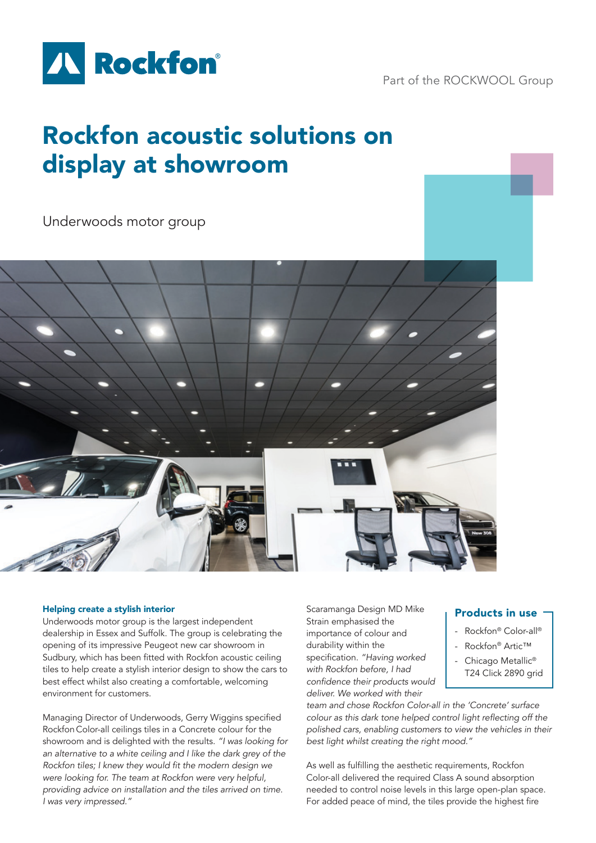

Part of the ROCKWOOL Group

## Rockfon acoustic solutions on display at showroom

Underwoods motor group



## Helping create a stylish interior

Underwoods motor group is the largest independent dealership in Essex and Suffolk. The group is celebrating the opening of its impressive Peugeot new car showroom in Sudbury, which has been fitted with Rockfon acoustic ceiling tiles to help create a stylish interior design to show the cars to best effect whilst also creating a comfortable, welcoming environment for customers.

Managing Director of Underwoods, Gerry Wiggins specified Rockfon Color-all ceilings tiles in a Concrete colour for the showroom and is delighted with the results. *"I was looking for an alternative to a white ceiling and I like the dark grey of the*  Rockfon tiles; I knew they would fit the modern design we were looking for. The team at Rockfon were very helpful, providing advice on installation and the tiles arrived on time. I was very impressed."

Scaramanga Design MD Mike Strain emphasised the importance of colour and durability within the specification. *"Having worked*  with Rockfon before, I had confidence their products would *deliver. We worked with their*

## Products in use

- Rockfon® Color-all®
- Rockfon® Artic™
- Chicago Metallic® T24 Click 2890 grid

team and chose Rockfon Color-all in the 'Concrete' surface colour as this dark tone helped control light reflecting off the polished cars, enabling customers to view the vehicles in their best light whilst creating the right mood."

As well as fulfilling the aesthetic requirements, Rockfon Color-all delivered the required Class A sound absorption needed to control noise levels in this large open-plan space. For added peace of mind, the tiles provide the highest fire